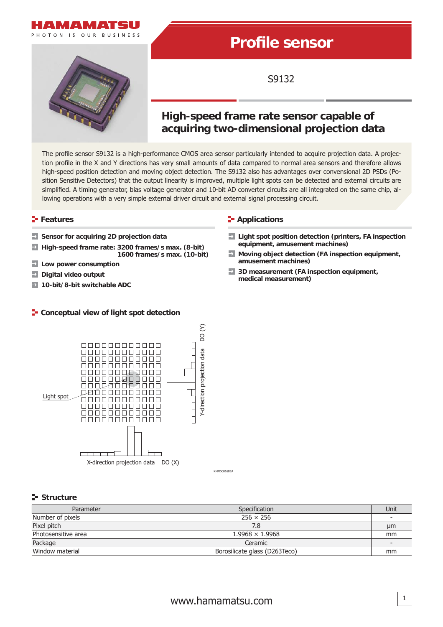



# **Profi le sensor**

S9132

## **High-speed frame rate sensor capable of acquiring two-dimensional projection data**

The profile sensor S9132 is a high-performance CMOS area sensor particularly intended to acquire projection data. A projection profile in the X and Y directions has very small amounts of data compared to normal area sensors and therefore allows high-speed position detection and moving object detection. The S9132 also has advantages over convensional 2D PSDs (Position Sensitive Detectors) that the output linearity is improved, multiple light spots can be detected and external circuits are simplified. A timing generator, bias voltage generator and 10-bit AD converter circuits are all integrated on the same chip, allowing operations with a very simple external driver circuit and external signal processing circuit.

- 
- **equipment, amusement machines) High-speed frame rate: 3200 frames/s max. (8-bit)**  $\rightarrow$
- $\rightarrow$ **Low power consumption**
- **Digital video output**
- **10-bit/8-bit switchable ADC**

#### **F** Conceptual view of light spot detection

#### **Features Contract Contract Contract Contract Contract Contract Contract Contract Contract Contract Contract Contract Contract Contract Contract Contract Contract Contract Contract Contract Contract Contract Contract Con**

- **Sensor for acquiring 2D projection data Light spot position detection (printers, FA inspection** 
	- **1600 frames/s max. (10-bit) Moving object detection (FA inspection equipment, amusement machines)**
		- **3D measurement (FA inspection equipment, medical measurement)**



KMPDC0168EA

#### **Structure**

| Parameter           | Specification                 | Unit |
|---------------------|-------------------------------|------|
| Number of pixels    | $256 \times 256$              |      |
| Pixel pitch         | 7.8                           | µm   |
| Photosensitive area | $1.9968 \times 1.9968$        | mm   |
| Package             | Ceramic                       |      |
| Window material     | Borosilicate glass (D263Teco) | mm   |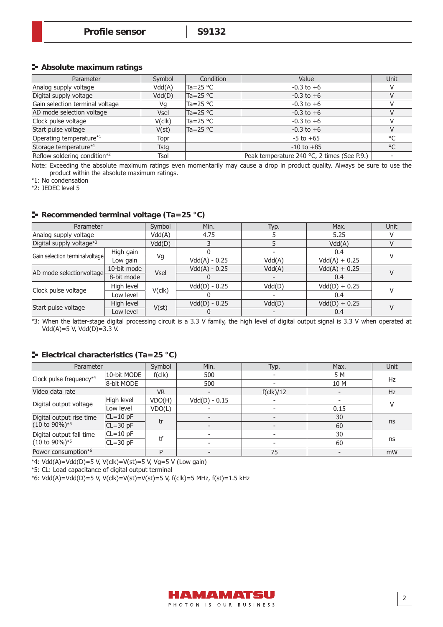#### **Absolute maximum ratings**

| Parameter                       | Symbol | Condition          | Value                                       | Unit    |
|---------------------------------|--------|--------------------|---------------------------------------------|---------|
| Analog supply voltage           | Vdd(A) | Ta=25 °C           | $-0.3$ to $+6$                              |         |
| Digital supply voltage          | Vdd(D) | Ta=25 $^{\circ}$ C | $-0.3$ to $+6$                              |         |
| Gain selection terminal voltage | Vq     | Ta=25 °C           | $-0.3$ to $+6$                              |         |
| AD mode selection voltage       | Vsel   | Ta=25 °C           | $-0.3$ to $+6$                              |         |
| Clock pulse voltage             | V(clk) | Ta=25 °C           | $-0.3$ to $+6$                              |         |
| Start pulse voltage             | V(st)  | Ta=25 $^{\circ}$ C | $-0.3$ to $+6$                              |         |
| Operating temperature*1         | Topr   |                    | $-5$ to $+65$                               | $\circ$ |
| Storage temperature*1           | Tsta   |                    | $-10$ to $+85$                              | °C      |
| Reflow soldering condition*2    | Tsol   |                    | Peak temperature 240 °C, 2 times (See P.9.) |         |

Note: Exceeding the absolute maximum ratings even momentarily may cause a drop in product quality. Always be sure to use the product within the absolute maximum ratings.

\*1: No condensation

\*2: JEDEC level 5

#### **Recommended terminal voltage (Ta=25 °C)**

| Parameter                      |             | Symbol      | Min.            | Typ.   | Max.            | Unit |
|--------------------------------|-------------|-------------|-----------------|--------|-----------------|------|
| Analog supply voltage          | Vdd(A)      |             | 4.75            |        | 5.25            |      |
| Digital supply voltage*3       |             | Vdd(D)      |                 |        | Vdd(A)          |      |
| Gain selection terminalvoltage | High gain   |             |                 |        | 0.4             |      |
|                                | Low gain    | Vg          | $Vdd(A) - 0.25$ | Vdd(A) | $Vdd(A) + 0.25$ |      |
| AD mode selectionvoltage       | 10-bit mode | <b>Vsel</b> | $Vdd(A) - 0.25$ | Vdd(A) | $Vdd(A) + 0.25$ |      |
|                                | 8-bit mode  |             |                 |        | 0.4             |      |
| Clock pulse voltage            | High level  | $V$ (clk)   | $Vdd(D) - 0.25$ | Vdd(D) | $Vdd(D) + 0.25$ |      |
|                                | Low level   |             |                 |        | 0.4             |      |
|                                | High level  |             | $Vdd(D) - 0.25$ | Vdd(D) | $Vdd(D) + 0.25$ |      |
| Start pulse voltage            | Low level   | V(st)       |                 |        | 0.4             |      |

\*3: When the latter-stage digital processing circuit is a 3.3 V family, the high level of digital output signal is 3.3 V when operated at  $Vdd(A)=5$  V,  $Vdd(D)=3.3$  V.

#### **Electrical characteristics (Ta=25 °C)**

| Parameter                                    |              | Symbol    | Min.            | Typ.                     | Max.                     | Unit |
|----------------------------------------------|--------------|-----------|-----------------|--------------------------|--------------------------|------|
|                                              | 10-bit MODE  | f(clk)    | 500             |                          | 5 M                      | Hz   |
| Clock pulse frequency*4                      | 8-bit MODE   |           | 500             |                          | 10 M                     |      |
| Video data rate                              |              | <b>VR</b> |                 | $f(\text{clk})/12$       |                          | Hz   |
| Digital output voltage                       | High level   | VDO(H)    | $Vdd(D) - 0.15$ |                          | $\overline{\phantom{a}}$ |      |
|                                              | Low level    | VDO(L)    |                 |                          | 0.15                     |      |
| Digital output rise time                     | $ CL=10$ pF  | tr        |                 | $\overline{\phantom{0}}$ | 30                       |      |
| $(10 \text{ to } 90\%)^{*5}$<br>$CL = 30$ pF |              |           |                 |                          | 60                       | ns   |
| Digital output fall time                     | $CL=10$ pF   |           |                 |                          | 30                       |      |
| $(10 \text{ to } 90\%)^{*5}$                 | $CL = 30$ pF | tf        |                 |                          | 60                       | ns   |
| Power consumption*6                          |              | D         |                 | 75                       |                          | mW   |

\*4:  $Vdd(A)=Vdd(D)=5 V, V(clk)=V(st)=5 V, Vg=5 V (Low gain)$ 

\*5: CL: Load capacitance of digital output terminal

\*6: Vdd(A)=Vdd(D)=5 V, V(clk)=V(st)=V(st)=5 V, f(clk)=5 MHz, f(st)=1.5 kHz

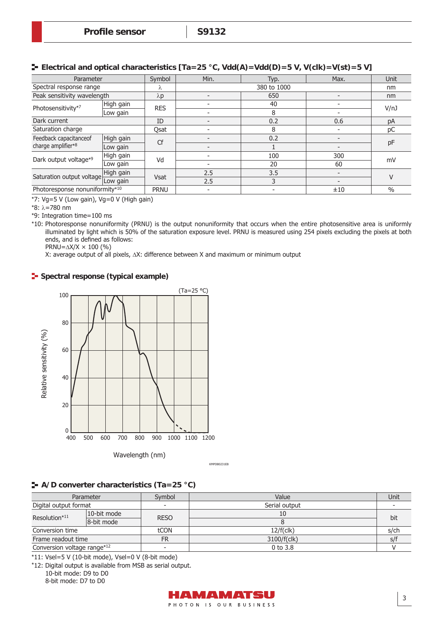| Parameter                      |           | Symbol      | Min.<br>Typ.             |             | Max.                     | Unit          |
|--------------------------------|-----------|-------------|--------------------------|-------------|--------------------------|---------------|
| Spectral response range        |           | Λ           |                          | 380 to 1000 |                          |               |
| Peak sensitivity wavelength    |           | $\lambda p$ | $\overline{\phantom{0}}$ | 650         |                          | nm            |
| Photosensitivity*7             | High gain | <b>RES</b>  |                          | 40          | $\overline{\phantom{a}}$ |               |
|                                | Low gain  |             | $\overline{\phantom{a}}$ | 8           |                          | V/nJ          |
| Dark current                   | ID        |             |                          | 0.2         | 0.6                      | pA            |
| Saturation charge              | Qsat      |             |                          | 8           |                          | рC            |
| Feedback capacitanceof         | High gain | Cf          |                          | 0.2         | $\overline{\phantom{a}}$ |               |
| charge amplifier*8             | Low gain  |             |                          |             |                          | pF            |
| Dark output voltage*9          | High gain | Vd          |                          | 100         | 300                      | mV            |
|                                | Low gain  |             |                          | 20          | 60                       |               |
| High gain                      |           |             | 2.5                      | 3.5         |                          | V             |
| Saturation output voltage      | Low gain  | <b>Vsat</b> | 2.5                      | 3           | $\overline{\phantom{0}}$ |               |
| Photoresponse nonuniformity*10 |           | <b>PRNU</b> | $\overline{\phantom{a}}$ | -           | ±10                      | $\frac{0}{0}$ |

\*7: Vg=5 V (Low gain), Vg=0 V (High gain)

\*8: λ=780 nm

\*9: Integration time=100 ms

\*10: Photoresponse nonuniformity (PRNU) is the output nonuniformity that occurs when the entire photosensitive area is uniformly illuminated by light which is 50% of the saturation exposure level. PRNU is measured using 254 pixels excluding the pixels at both ends, and is defined as follows:

PRNU= $\Delta$ X/X  $\times$  100 (%)

X: average output of all pixels, ΔX: difference between X and maximum or minimum output

#### **Spectral response (typical example)**



KMPDB0231EB

### **A/D converter characteristics (Ta=25 °C)**

|                             | Parameter   | Symbol                   | Value         | Unit    |
|-----------------------------|-------------|--------------------------|---------------|---------|
| Digital output format       |             | $\overline{\phantom{0}}$ | Serial output |         |
| Resolution*11               | 10-bit mode | <b>RESO</b>              | 10            |         |
|                             | 8-bit mode  |                          |               | bit     |
| Conversion time             |             | tCON                     | 12/f(clk)     | $s$ /ch |
| Frame readout time          |             | <b>FR</b>                | 3100/f(clk)   | s/f     |
| Conversion voltage range*12 |             |                          | $0$ to $3.8$  |         |

\*11: Vsel=5 V (10-bit mode), Vsel=0 V (8-bit mode)

\*12: Digital output is available from MSB as serial output.

10-bit mode: D9 to D0 8-bit mode: D7 to D0

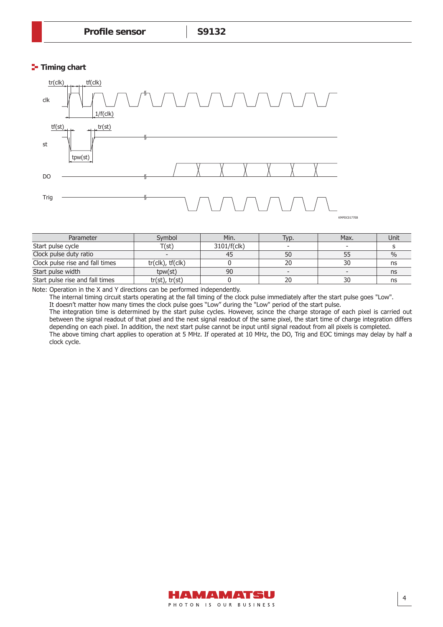#### **Timing chart**



| Parameter                       | Svmbol                        | Min.        | Typ. | Max. | Unit |
|---------------------------------|-------------------------------|-------------|------|------|------|
| Start pulse cycle               | T(st)                         | 3101/f(clk) |      |      |      |
| Clock pulse duty ratio          |                               | 45          | 50   |      | $\%$ |
| Clock pulse rise and fall times | $tr($ clk $)$ , $tr($ clk $)$ |             | 20   | 30   | ns   |
| Start pulse width               | tpw(st)                       | 90          |      |      | ns   |
| Start pulse rise and fall times | tr(st), tr(st)                |             | 20   | 30   | ns   |

Note: Operation in the X and Y directions can be performed independently.

The internal timing circuit starts operating at the fall timing of the clock pulse immediately after the start pulse goes "Low".

It doesn't matter how many times the clock pulse goes "Low" during the "Low" period of the start pulse.

The integration time is determined by the start pulse cycles. However, scince the charge storage of each pixel is carried out between the signal readout of that pixel and the next signal readout of the same pixel, the start time of charge integration differs depending on each pixel. In addition, the next start pulse cannot be input until signal readout from all pixels is completed. The above timing chart applies to operation at 5 MHz. If operated at 10 MHz, the DO, Trig and EOC timings may delay by half a clock cycle.

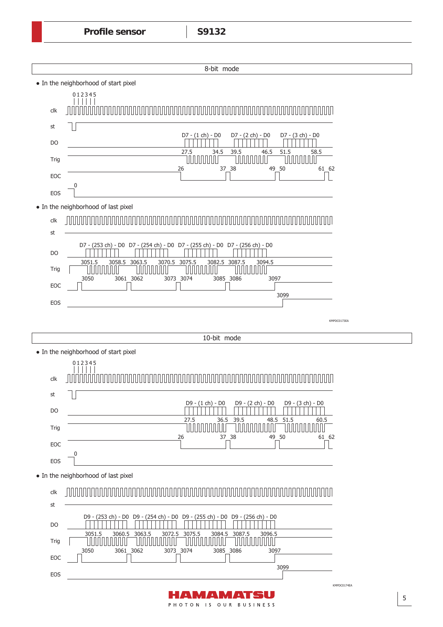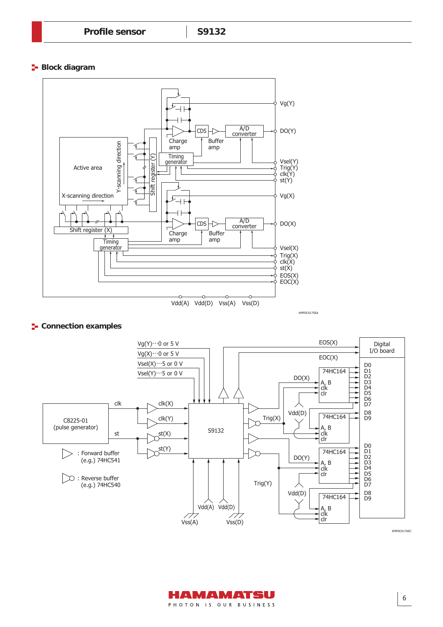**Block diagram** 



#### **E** Connection examples



KMPDC0176EC

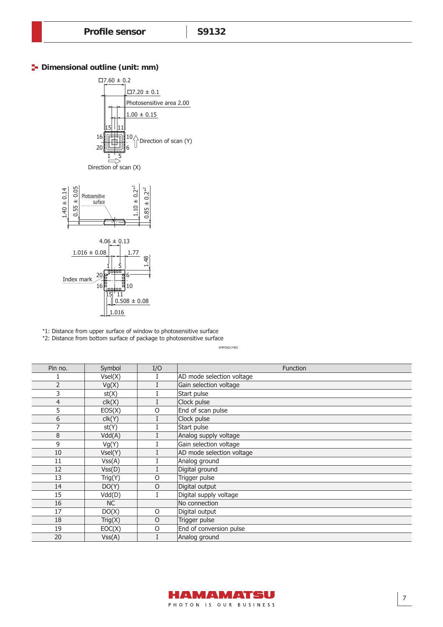#### **P** Dimensional outline (unit: mm)



\*1: Distance from upper surface of window to photosensitive surface

\*2: Distance from bottom surface of package to photosensitive surface

| Pin no.        | Symbol    | I/O     | <b>Function</b>           |
|----------------|-----------|---------|---------------------------|
|                | Vsel(X)   | I       | AD mode selection voltage |
| $\overline{2}$ | Vg(X)     |         | Gain selection voltage    |
| 3              | st(X)     |         | Start pulse               |
| 4              | clk(X)    | I       | Clock pulse               |
| 5              | EOS(X)    | $\circ$ | End of scan pulse         |
| 6              | clk(Y)    | I       | Clock pulse               |
|                | st(Y)     |         | Start pulse               |
| 8              | Vdd(A)    |         | Analog supply voltage     |
| 9              | Vg(Y)     |         | Gain selection voltage    |
| 10             | Vsel(Y)   |         | AD mode selection voltage |
| 11             | VSS(A)    |         | Analog ground             |
| 12             | Vss(D)    | I       | Digital ground            |
| 13             | Trig(Y)   | O       | Trigger pulse             |
| 14             | DO(Y)     | O       | Digital output            |
| 15             | Vdd(D)    |         | Digital supply voltage    |
| 16             | <b>NC</b> |         | No connection             |
| 17             | DO(X)     | O       | Digital output            |
| 18             | Trig(X)   | $\circ$ | Trigger pulse             |
| 19             | EOC(X)    | $\circ$ | End of conversion pulse   |
| 20             | VSS(A)    |         | Analog ground             |

KMPDA0174EC

7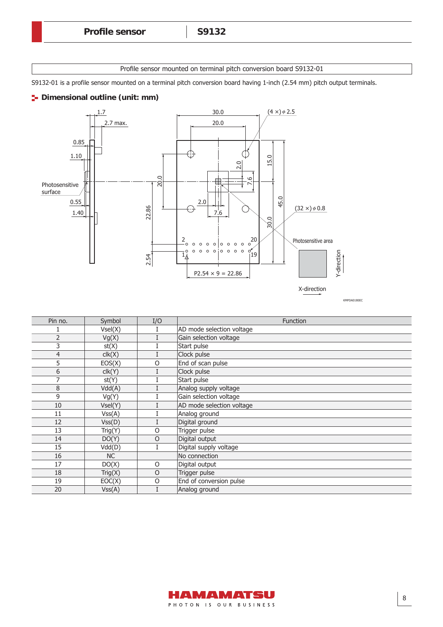Profile sensor mounted on terminal pitch conversion board S9132-01

S9132-01 is a profile sensor mounted on a terminal pitch conversion board having 1-inch (2.54 mm) pitch output terminals.

#### **P**- Dimensional outline (unit: mm)



| Pin no. | Symbol    | I/O     | Function                  |
|---------|-----------|---------|---------------------------|
|         | Vsel(X)   |         | AD mode selection voltage |
| 2       | Vg(X)     |         | Gain selection voltage    |
| 3       | st(X)     |         | Start pulse               |
| 4       | clk(X)    |         | Clock pulse               |
| 5       | EOS(X)    | O       | End of scan pulse         |
| 6       | clk(Y)    |         | Clock pulse               |
|         | st(Y)     |         | Start pulse               |
| 8       | Vdd(A)    |         | Analog supply voltage     |
| 9       | Vg(Y)     |         | Gain selection voltage    |
| 10      | Vsel(Y)   |         | AD mode selection voltage |
| 11      | VSS(A)    |         | Analog ground             |
| 12      | Vss(D)    |         | Digital ground            |
| 13      | Trig(Y)   | $\circ$ | Trigger pulse             |
| 14      | DO(Y)     | $\circ$ | Digital output            |
| 15      | Vdd(D)    | T       | Digital supply voltage    |
| 16      | <b>NC</b> |         | No connection             |
| 17      | DO(X)     | $\circ$ | Digital output            |
| 18      | Trig(X)   | $\circ$ | Trigger pulse             |
| 19      | EOC(X)    | $\circ$ | End of conversion pulse   |
| 20      | VSS(A)    |         | Analog ground             |

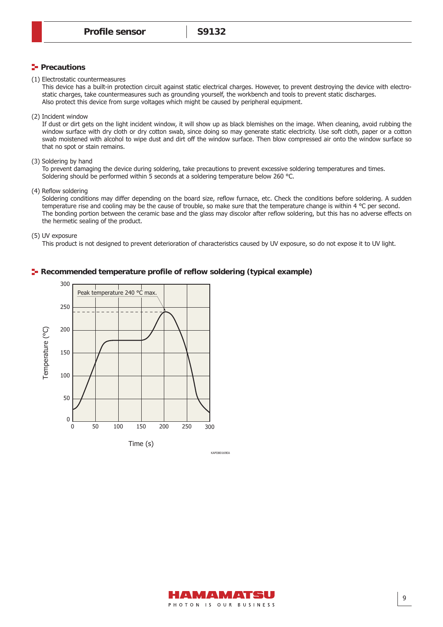#### **Precautions**

(1) Electrostatic countermeasures

This device has a built-in protection circuit against static electrical charges. However, to prevent destroying the device with electrostatic charges, take countermeasures such as grounding yourself, the workbench and tools to prevent static discharges. Also protect this device from surge voltages which might be caused by peripheral equipment.

(2) Incident window

If dust or dirt gets on the light incident window, it will show up as black blemishes on the image. When cleaning, avoid rubbing the window surface with dry cloth or dry cotton swab, since doing so may generate static electricity. Use soft cloth, paper or a cotton swab moistened with alcohol to wipe dust and dirt off the window surface. Then blow compressed air onto the window surface so that no spot or stain remains.

(3) Soldering by hand

To prevent damaging the device during soldering, take precautions to prevent excessive soldering temperatures and times. Soldering should be performed within 5 seconds at a soldering temperature below 260 °C.

(4) Reflow soldering

Soldering conditions may differ depending on the board size, reflow furnace, etc. Check the conditions before soldering. A sudden temperature rise and cooling may be the cause of trouble, so make sure that the temperature change is within 4 °C per second. The bonding portion between the ceramic base and the glass may discolor after reflow soldering, but this has no adverse effects on the hermetic sealing of the product.

(5) UV exposure

This product is not designed to prevent deterioration of characteristics caused by UV exposure, so do not expose it to UV light.

#### **F** Recommended temperature profile of reflow soldering (typical example)



HAMAMATSU PHOTON IS OUR BUSINESS